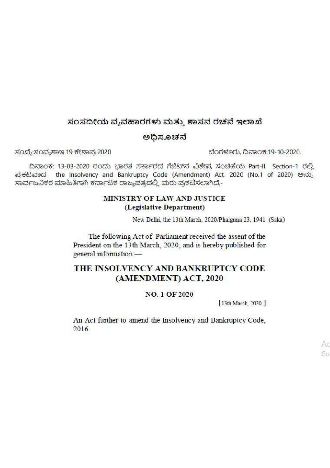# ಸಂಸದೀಯ ವ್ಯವಹಾರಗಳು ಮತ್ತು ಶಾಸನ ರಚನೆ ಇಲಾಖೆ

### ಅದಿಸೂಚನೆ

ಸಂಖ್ಯೆ:ಸಂವ್ಯಶಾಇ 19 ಕೇಶಾಪ್ರ 2020

ಬೆಂಗಳೂರು, ದಿನಾಂಕ:19-10-2020.

ದಿನಾಂಕ: 13-03-2020 ರಂದು ಭಾರತ ಸರ್ಕಾರದ ಗೆಜೆಟ್ನ ವಿಶೇಷ ಸಂಚಿಕೆಯ Part-II Section-1 ರಲ್ಲಿ the Insolvency and Bankruptcy Code (Amendment) Act, 2020 (No.1 of 2020) පබා ಪುಕಟವಾದ ಸಾರ್ವಜನಿಕರ ಮಾಹಿತಿಗಾಗಿ ಕರ್ನಾಟಕ ರಾಜ್ಯಪತ್ರದಲ್ಲಿ ಮರು ಪ್ರಕಟಿಸಲಾಗಿದೆ,-

### MINISTRY OF LAW AND JUSTICE (Legislative Department)

New Delhi, the 13th March, 2020/Phalguna 23, 1941 (Saka)

The following Act of Parliament received the assent of the President on the 13th March, 2020, and is hereby published for general information:-

# THE INSOLVENCY AND BANKRUPTCY CODE (AMENDMENT) ACT, 2020

#### **NO. 1 OF 2020**

[13th March, 2020.]

An Act further to amend the Insolvency and Bankruptcy Code, 2016.

> Aτ Go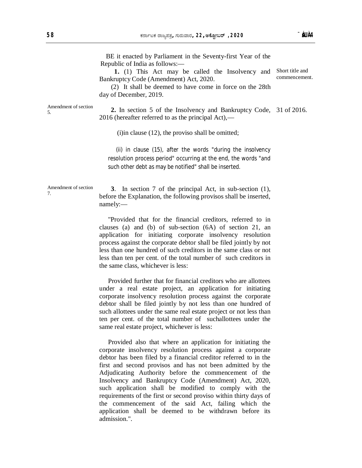BE it enacted by Parliament in the Seventy-first Year of the

Republic of India as follows:—

 **1.** (1) This Act may be called the Insolvency and Bankruptcy Code (Amendment) Act, 2020. Short title and commencement.

 (2) It shall be deemed to have come in force on the 28th day of December, 2019.

Amendment of section 5.

 **2.** In section 5 of the Insolvency and Bankruptcy Code, 31 of 2016. 2016 (hereafter referred to as the principal Act),—

(i)in clause (12), the proviso shall be omitted;

(ii) in clause (15), after the words "during the insolvency resolution process period" occurring at the end, the words "and such other debt as may be notified" shall be inserted.

Amendment of section 7.

 **3**. In section 7 of the principal Act, in sub-section (1), before the Explanation, the following provisos shall be inserted, namely:—

"Provided that for the financial creditors, referred to in clauses (a) and (b) of sub-section (6A) of section 21, an application for initiating corporate insolvency resolution process against the corporate debtor shall be filed jointly by not less than one hundred of such creditors in the same class or not less than ten per cent. of the total number of such creditors in the same class, whichever is less:

Provided further that for financial creditors who are allottees under a real estate project, an application for initiating corporate insolvency resolution process against the corporate debtor shall be filed jointly by not less than one hundred of such allottees under the same real estate project or not less than ten per cent. of the total number of suchallottees under the same real estate project, whichever is less:

Provided also that where an application for initiating the corporate insolvency resolution process against a corporate debtor has been filed by a financial creditor referred to in the first and second provisos and has not been admitted by the Adjudicating Authority before the commencement of the Insolvency and Bankruptcy Code (Amendment) Act, 2020, such application shall be modified to comply with the requirements of the first or second proviso within thirty days of the commencement of the said Act, failing which the application shall be deemed to be withdrawn before its admission.".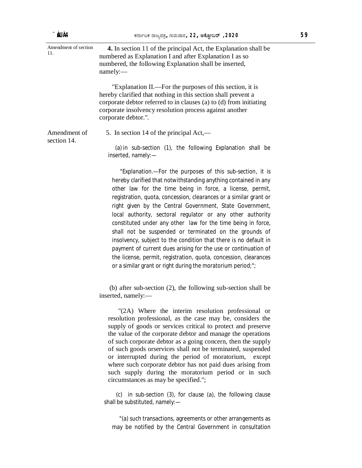| Amendment of section<br>11. | 4. In section 11 of the principal Act, the Explanation shall be<br>numbered as Explanation I and after Explanation I as so<br>numbered, the following Explanation shall be inserted,<br>namely:                                                                                                                                                                                                                                                                                                                                                                                                                                                                                                                                                                                             |
|-----------------------------|---------------------------------------------------------------------------------------------------------------------------------------------------------------------------------------------------------------------------------------------------------------------------------------------------------------------------------------------------------------------------------------------------------------------------------------------------------------------------------------------------------------------------------------------------------------------------------------------------------------------------------------------------------------------------------------------------------------------------------------------------------------------------------------------|
|                             | "Explanation II.—For the purposes of this section, it is<br>hereby clarified that nothing in this section shall prevent a<br>corporate debtor referred to in clauses (a) to (d) from initiating<br>corporate insolvency resolution process against another<br>corporate debtor.".                                                                                                                                                                                                                                                                                                                                                                                                                                                                                                           |
| Amendment of<br>section 14. | 5. In section 14 of the principal Act,—                                                                                                                                                                                                                                                                                                                                                                                                                                                                                                                                                                                                                                                                                                                                                     |
|                             | (a) in sub-section (1), the following Explanation shall be<br>inserted, namely:-                                                                                                                                                                                                                                                                                                                                                                                                                                                                                                                                                                                                                                                                                                            |
|                             | "Explanation.-For the purposes of this sub-section, it is<br>hereby clarified that notwithstanding anything contained in any<br>other law for the time being in force, a license, permit,<br>registration, quota, concession, clearances or a similar grant or<br>right given by the Central Government, State Government,<br>local authority, sectoral regulator or any other authority<br>constituted under any other law for the time being in force,<br>shall not be suspended or terminated on the grounds of<br>insolvency, subject to the condition that there is no default in<br>payment of current dues arising for the use or continuation of<br>the license, permit, registration, quota, concession, clearances<br>or a similar grant or right during the moratorium period;"; |
|                             | (b) after sub-section (2), the following sub-section shall be<br>inserted, namely:-                                                                                                                                                                                                                                                                                                                                                                                                                                                                                                                                                                                                                                                                                                         |
|                             | "(2A) Where the interim resolution professional or<br>resolution professional, as the case may be, considers the<br>supply of goods or services critical to protect and preserve                                                                                                                                                                                                                                                                                                                                                                                                                                                                                                                                                                                                            |

supply of goods or services critical to protect and preserve the value of the corporate debtor and manage the operations of such corporate debtor as a going concern, then the supply of such goods orservices shall not be terminated, suspended or interrupted during the period of moratorium, except where such corporate debtor has not paid dues arising from such supply during the moratorium period or in such circumstances as may be specified.";

(c) in sub-section (3), for clause (a), the following clause shall be substituted, namely:—

"(a) such transactions, agreements or other arrangements as may be notified by the Central Government in consultation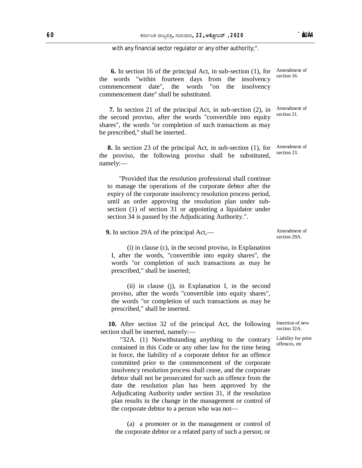with any financial sector regulator or any other authority;".

 **6.** In section 16 of the principal Act, in sub-section (1), for the words "within fourteen days from the insolvency commencement date", the words "on the insolvency commencement date" shall be substituted. Amendment of section 16.

 **7.** In section 21 of the principal Act, in sub-section (2), in the second proviso, after the words "convertible into equity shares", the words "or completion of such transactions as may be prescribed," shall be inserted.

 **8.** In section 23 of the principal Act, in sub-section (1), for the proviso, the following proviso shall be substituted, namely:—

"Provided that the resolution professional shall continue to manage the operations of the corporate debtor after the expiry of the corporate insolvency resolution process period, until an order approving the resolution plan under subsection (1) of section 31 or appointing a liquidator under section 34 is passed by the Adjudicating Authority.".

 **9.** In section 29A of the principal Act,—

(i) in clause (c), in the second proviso, in Explanation I, after the words, "convertible into equity shares", the words "or completion of such transactions as may be prescribed," shall be inserted;

(ii) in clause (j), in Explanation I, in the second proviso, after the words "convertible into equity shares", the words "or completion of such transactions as may be prescribed," shall be inserted.

**10.** After section 32 of the principal Act, the following section shall be inserted, namely:—

"32A. (1) Notwithstanding anything to the contrary contained in this Code or any other law for the time being in force, the liability of a corporate debtor for an offence committed prior to the commencement of the corporate insolvency resolution process shall cease, and the corporate debtor shall not be prosecuted for such an offence from the date the resolution plan has been approved by the Adjudicating Authority under section 31, if the resolution plan results in the change in the management or control of the corporate debtor to a person who was not—

(a) a promoter or in the management or control of the corporate debtor or a related party of such a person; or

Amendment of section 21.

Amendment of section 23.

Amendment of section 29A.

> Insertion of new section 32A.

Liability for prior offences, etc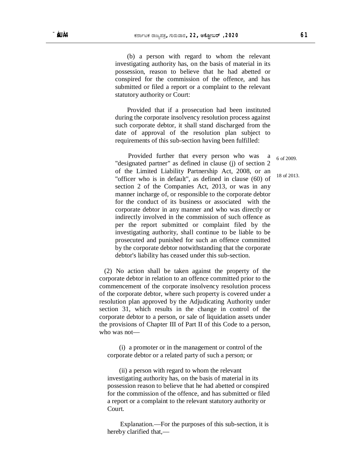(b) a person with regard to whom the relevant investigating authority has, on the basis of material in its possession, reason to believe that he had abetted or conspired for the commission of the offence, and has submitted or filed a report or a complaint to the relevant statutory authority or Court:

Provided that if a prosecution had been instituted during the corporate insolvency resolution process against such corporate debtor, it shall stand discharged from the date of approval of the resolution plan subject to requirements of this sub-section having been fulfilled:

 Provided further that every person who was a "designated partner" as defined in clause (j) of section 2 of the Limited Liability Partnership Act, 2008, or an "officer who is in default", as defined in clause (60) of section 2 of the Companies Act, 2013, or was in any manner incharge of, or responsible to the corporate debtor for the conduct of its business or associated with the corporate debtor in any manner and who was directly or indirectly involved in the commission of such offence as per the report submitted or complaint filed by the investigating authority, shall continue to be liable to be prosecuted and punished for such an offence committed by the corporate debtor notwithstanding that the corporate debtor's liability has ceased under this sub-section.

(2) No action shall be taken against the property of the corporate debtor in relation to an offence committed prior to the commencement of the corporate insolvency resolution process of the corporate debtor, where such property is covered under a resolution plan approved by the Adjudicating Authority under section 31, which results in the change in control of the corporate debtor to a person, or sale of liquidation assets under the provisions of Chapter III of Part II of this Code to a person, who was not—

(i) a promoter or in the management or control of the corporate debtor or a related party of such a person; or

(ii) a person with regard to whom the relevant investigating authority has, on the basis of material in its possession reason to believe that he had abetted or conspired for the commission of the offence, and has submitted or filed a report or a complaint to the relevant statutory authority or Court.

Explanation.—For the purposes of this sub-section, it is hereby clarified that,—

6 of 2009.

18 of 2013.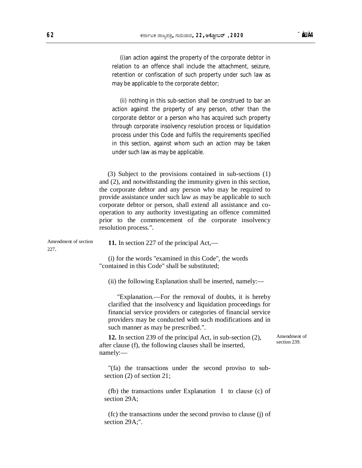(i)an action against the property of the corporate debtor in relation to an offence shall include the attachment, seizure, retention or confiscation of such property under such law as may be applicable to the corporate debtor;

(ii) nothing in this sub-section shall be construed to bar an action against the property of any person, other than the corporate debtor or a person who has acquired such property through corporate insolvency resolution process or liquidation process under this Code and fulfils the requirements specified in this section, against whom such an action may be taken under such law as may be applicable.

 (3) Subject to the provisions contained in sub-sections (1) and (2), and notwithstanding the immunity given in this section, the corporate debtor and any person who may be required to provide assistance under such law as may be applicable to such corporate debtor or person, shall extend all assistance and cooperation to any authority investigating an offence committed prior to the commencement of the corporate insolvency resolution process.".

Amendment of section 227.

**11.** In section 227 of the principal Act,—

(i) for the words "examined in this Code", the words "contained in this Code" shall be substituted;

(ii) the following Explanation shall be inserted, namely:—

"Explanation.—For the removal of doubts, it is hereby clarified that the insolvency and liquidation proceedings for financial service providers or categories of financial service providers may be conducted with such modifications and in such manner as may be prescribed.".

**12.** In section 239 of the principal Act, in sub-section (2), after clause (f), the following clauses shall be inserted, namely:—

Amendment of section 239.

"(fa) the transactions under the second proviso to subsection (2) of section 21;

(fb) the transactions under Explanation I to clause (c) of section 29A;

(fc) the transactions under the second proviso to clause (j) of section 29A;".